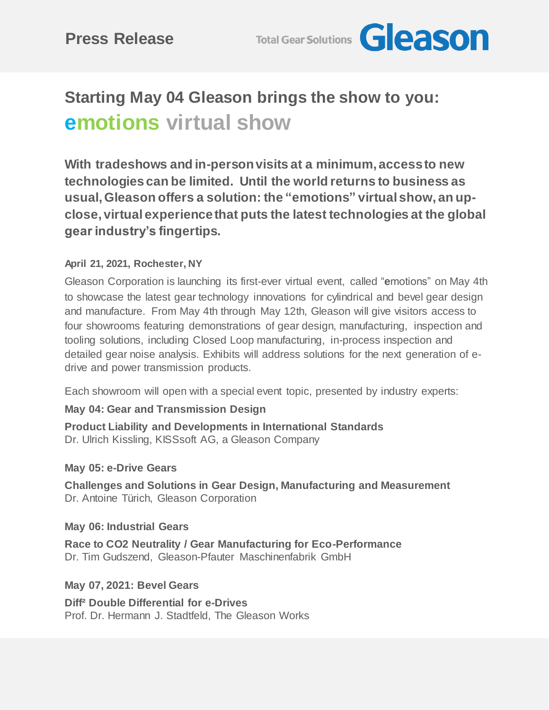**Total Gear Solutions Geason** 

# **Starting May 04 Gleason brings the show to you: emotions virtual show**

**With tradeshows and in-person visits at a minimum, access to new technologies can be limited. Until the world returns to business as usual, Gleason offers a solution: the "emotions" virtual show, an upclose, virtual experience that puts the latest technologies at the global gear industry's fingertips.**

## **April 21, 2021, Rochester, NY**

Gleason Corporation is launching its first-ever virtual event, called "**e**motions" on May 4th to showcase the latest gear technology innovations for cylindrical and bevel gear design and manufacture. From May 4th through May 12th, Gleason will give visitors access to four showrooms featuring demonstrations of gear design, manufacturing, inspection and tooling solutions, including Closed Loop manufacturing, in-process inspection and detailed gear noise analysis. Exhibits will address solutions for the next generation of edrive and power transmission products.

Each showroom will open with a special event topic, presented by industry experts:

## **May 04: Gear and Transmission Design**

**Product Liability and Developments in International Standards** Dr. Ulrich Kissling, KISSsoft AG, a Gleason Company

### **May 05: e-Drive Gears**

**Challenges and Solutions in Gear Design, Manufacturing and Measurement** Dr. Antoine Türich, Gleason Corporation

**May 06: Industrial Gears**

**Race to CO2 Neutrality / Gear Manufacturing for Eco-Performance** Dr. Tim Gudszend, Gleason-Pfauter Maschinenfabrik GmbH

### **May 07, 2021: Bevel Gears**

**Diff² Double Differential for e-Drives** Prof. Dr. Hermann J. Stadtfeld, The Gleason Works